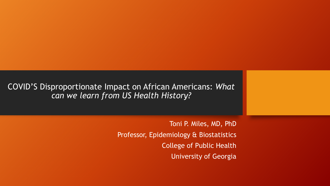COVID'S Disproportionate Impact on African Americans: *What can we learn from US Health History?*

> Toni P. Miles, MD, PhD Professor, Epidemiology & Biostatistics College of Public Health University of Georgia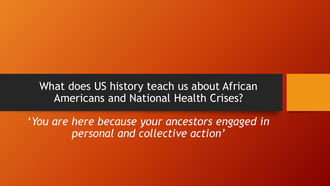What does US history teach us about African Americans and National Health Crises?

'*You are here because your ancestors engaged in personal and collective action'*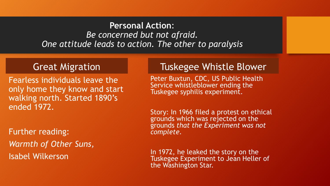#### **Personal Action**: *Be concerned but not afraid. One attitude leads to action. The other to paralysis*

### Great Migration

Fearless individuals leave the only home they know and start walking north. Started 1890's ended 1972.

Further reading: *Warmth of Other Suns,*  Isabel Wilkerson

## Tuskegee Whistle Blower

Peter Buxtun, CDC, US Public Health Service whistleblower ending the Tuskegee syphilis experiment.

Story: In 1966 filed a protest on ethical grounds which was rejected on the grounds *that the Experiment was not complete.* 

In 1972, he leaked the story on the Tuskegee Experiment to Jean Heller of the Washington Star.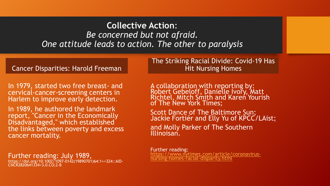#### **Collective Action**: *Be concerned but not afraid. One attitude leads to action. The other to paralysis*

#### Cancer Disparities: Harold Freeman

In 1979, started two free breast- and cervical-cancer-screening centers in Harlem to improve early detection.

In 1989, he authored the landmark report, "Cancer in the Economically Disadvantaged," which established the links between poverty and excess cancer mortality.

Further reading: July 1989,

https://doi.org/10.1002/1097-0142(19890701)64:1+<324::AID- CNCR2820641334>3.0.CO;2-B

The Striking Racial Divide: Covid-19 Has Hit Nursing Homes

A collaboration with reporting by:<br>Robert Gebeloff, Danielle Ivory, Matt<br>R<u>ich</u>tel, Mitch Smith and Karen Yourish of The New York Times;

Scott Dance of The Baltimore Sun;<br>Jackie Fortiér and Elly Yu of KPCC/LAist; and Molly Parker of The Southern<br>Illinoisan.

Further reading:<br>https://www.nytimes.com/article/coronavirus-<br>nursing-homes-racial-disparity.html